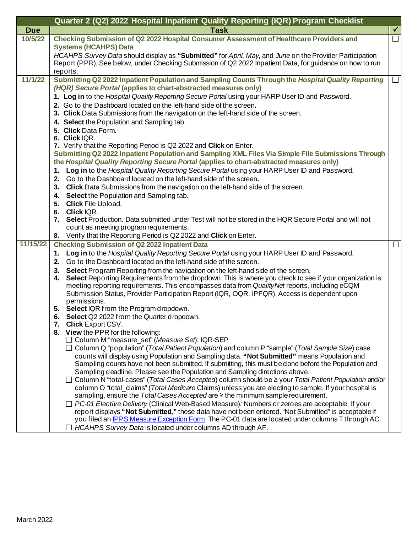|            | Quarter 2 (Q2) 2022 Hospital Inpatient Quality Reporting (IQR) Program Checklist                                                                                                       |        |
|------------|----------------------------------------------------------------------------------------------------------------------------------------------------------------------------------------|--------|
| <b>Due</b> | <b>Task</b>                                                                                                                                                                            |        |
| 10/5/22    | Checking Submission of Q2 2022 Hospital Consumer Assessment of Healthcare Providers and                                                                                                |        |
|            | <b>Systems (HCAHPS) Data</b>                                                                                                                                                           |        |
|            | HCAHPS Survey Data should display as "Submitted" for April, May, and June on the Provider Participation                                                                                |        |
|            | Report (PPR). See below, under Checking Submission of Q2 2022 Inpatient Data, for guidance on how to run                                                                               |        |
|            | reports.                                                                                                                                                                               |        |
| 11/1/22    | Submitting Q2 2022 Inpatient Population and Sampling Counts Through the Hospital Quality Reporting                                                                                     | $\Box$ |
|            | (HQR) Secure Portal (applies to chart-abstracted measures only)                                                                                                                        |        |
|            | 1. Log in to the Hospital Quality Reporting Secure Portal using your HARP User ID and Password.                                                                                        |        |
|            | 2. Go to the Dashboard located on the left-hand side of the screen.                                                                                                                    |        |
|            | 3. Click Data Submissions from the navigation on the left-hand side of the screen.                                                                                                     |        |
|            | 4. Select the Population and Sampling tab.                                                                                                                                             |        |
|            | 5. Click Data Form.                                                                                                                                                                    |        |
|            | 6. Click IQR.<br>7. Verify that the Reporting Period is Q2 2022 and Click on Enter.                                                                                                    |        |
|            | Submitting Q2 2022 Inpatient Population and Sampling XML Files Via Simple File Submissions Through                                                                                     |        |
|            | the Hospital Quality Reporting Secure Portal (applies to chart-abstracted measures only)                                                                                               |        |
|            | 1. Log in to the Hospital Quality Reporting Secure Portal using your HARP User ID and Password.                                                                                        |        |
|            | 2. Go to the Dashboard located on the left-hand side of the screen.                                                                                                                    |        |
|            | 3. Click Data Submissions from the navigation on the left-hand side of the screen.                                                                                                     |        |
|            | 4. Select the Population and Sampling tab.                                                                                                                                             |        |
|            | 5. Click File Upload.                                                                                                                                                                  |        |
|            | 6. Click IQR.                                                                                                                                                                          |        |
|            | 7. Select Production. Data submitted under Test will not be stored in the HQR Secure Portal and will not                                                                               |        |
|            | count as meeting program requirements.                                                                                                                                                 |        |
|            | 8. Verify that the Reporting Period is Q2 2022 and Click on Enter.                                                                                                                     |        |
| 11/15/22   | <b>Checking Submission of Q2 2022 Inpatient Data</b>                                                                                                                                   |        |
|            | 1. Log in to the Hospital Quality Reporting Secure Portal using your HARP User ID and Password.                                                                                        |        |
|            | 2. Go to the Dashboard located on the left-hand side of the screen.                                                                                                                    |        |
|            | 3. Select Program Reporting from the navigation on the left-hand side of the screen.                                                                                                   |        |
|            | Select Reporting Requirements from the dropdown. This is where you check to see if your organization is<br>4.                                                                          |        |
|            | meeting reporting requirements. This encompasses data from Quality Net reports, including eCQM                                                                                         |        |
|            | Submission Status, Provider Participation Report (IQR, OQR, IPFQR). Access is dependent upon<br>permissions.                                                                           |        |
|            | 5. Select IQR from the Program dropdown.                                                                                                                                               |        |
|            | Select Q2 2022 from the Quarter dropdown.<br>6.                                                                                                                                        |        |
|            | 7. Click Export CSV.                                                                                                                                                                   |        |
|            | 8. View the PPR for the following:                                                                                                                                                     |        |
|            | □ Column M "measure_set" (Measure Set): IQR-SEP                                                                                                                                        |        |
|            | $\Box$ Column Q "population" (Total Patient Population) and column P "sample" (Total Sample Size) case                                                                                 |        |
|            | counts will display using Population and Sampling data. "Not Submitted" means Population and                                                                                           |        |
|            | Sampling counts have not been submitted. If submitting, this must be done before the Population and                                                                                    |        |
|            | Sampling deadline. Please see the Population and Sampling directions above.<br>□ Column N "total-cases" (Total Cases Accepted) column should be ≥ your Total Patient Population and/or |        |
|            | column O "total_claims" (Total Medicare Claims) unless you are electing to sample. If your hospital is                                                                                 |        |
|            | sampling, ensure the Total Cases Accepted are ≥ the minimum sample requirement.                                                                                                        |        |
|            | $\Box$ PC-01 Elective Delivery (Clinical Web-Based Measure): Numbers or zeroes are acceptable. If your                                                                                 |        |
|            | report displays "Not Submitted," these data have not been entered. "Not Submitted" is acceptable if                                                                                    |        |
|            | you filed an IPPS Measure Exception Form. The PC-01 data are located under columns T through AC.                                                                                       |        |
|            | $\Box$ HCAHPS Survey Data is located under columns AD through AF.                                                                                                                      |        |